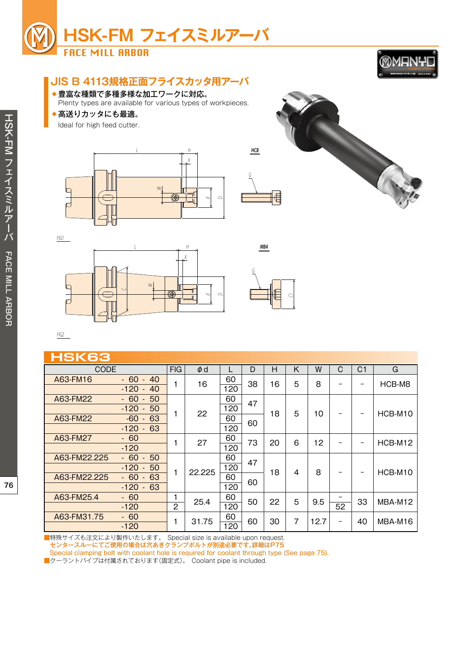



# **JIS B 4113規格正面フライスカッタ用アーバ**

◆豊富な種類で多種多様な加工ワークに対応。

Plenty types are available for various types of workpieces.

◆高送りカッタにも最適。

Ideal for high feed cutter.





*FIG1*





*MBA*

*FIG2*

## **HSK63**

| NONOJ        |                                                                           |                     |          |           |    |    |                |      |         |                          |         |
|--------------|---------------------------------------------------------------------------|---------------------|----------|-----------|----|----|----------------|------|---------|--------------------------|---------|
| CODE         |                                                                           | <b>FIG</b>          | $\phi$ d |           | D  | Н  | Κ              | W    | C       | C <sub>1</sub>           | G       |
| A63-FM16     | $-60$<br>40<br>$\sim$<br>$-120$<br>40<br>$\blacksquare$                   | 1                   | 16       | 60<br>120 | 38 | 16 | 5              | 8    |         |                          | HCB-M8  |
| A63-FM22     | $-60$<br>50<br>$\sim$<br>50<br>$-120$<br>$\sim$                           |                     | 22       | 60<br>120 | 47 | 18 | 5              | 10   |         | -                        | HCB-M10 |
| A63-FM22     | $-60$<br>63<br>$\sim$<br>$-120$<br>63<br>$\sim$                           |                     |          | 60<br>120 | 60 |    |                |      |         |                          |         |
| A63-FM27     | $-60$<br>$-120$                                                           |                     | 27       | 60<br>120 | 73 | 20 | 6              | 12   |         | -                        | HCB-M12 |
| A63-FM22.225 | $-60$<br>50<br>$\sim$<br>50<br>$-120$<br>$\blacksquare$                   | 1                   | 22.225   | 60<br>120 | 47 | 18 | 4              | 8    |         |                          |         |
| A63-FM22.225 | $-60$<br>63<br>$\overline{\phantom{a}}$<br>63<br>$-120$<br>$\blacksquare$ |                     |          | 60<br>120 | 60 |    |                |      |         | $\overline{\phantom{m}}$ | HCB-M10 |
| A63-FM25.4   | $-60$<br>$-120$                                                           | 1<br>$\overline{2}$ | 25.4     | 60<br>120 | 50 | 22 | 5              | 9.5  | -<br>52 | 33                       | MBA-M12 |
| A63-FM31.75  | $-60$<br>$-120$                                                           | 1                   | 31.75    | 60<br>120 | 60 | 30 | $\overline{7}$ | 12.7 | -       | 40                       | MBA-M16 |

■特殊サイズも注文により製作いたします。 Special size is available upon request. センタースルーにてご使用の場合は穴あきクランプボルトが別途必要です。詳細はP75

Special clamping bolt with coolant hole is required for coolant through type (See page 75).

■クーラントパイプは付属されております(固定式)。 Coolant pipe is included.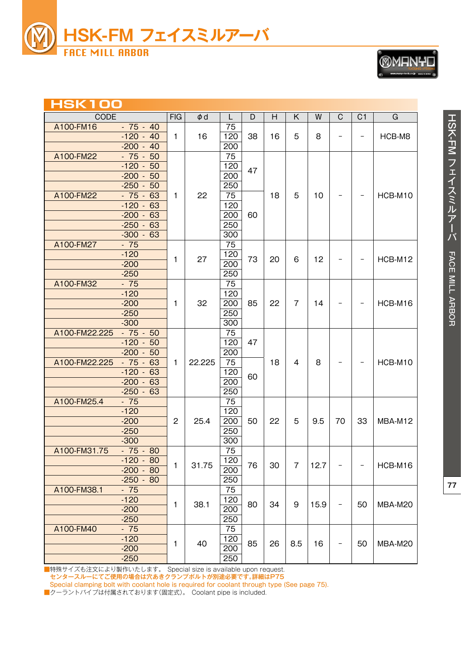

**Home H**  $\neq$  **H** 

| <b>TOOLING SYSTEMS</b>                 |  |
|----------------------------------------|--|
| www.manyo.tools.co.jp<br>MADE IN JAPAN |  |

| HSK I UU      |                                                                        |                |          |                                |    |    |                |      |                          |                          |         |
|---------------|------------------------------------------------------------------------|----------------|----------|--------------------------------|----|----|----------------|------|--------------------------|--------------------------|---------|
| CODE          |                                                                        | <b>FIG</b>     | $\phi$ d | L                              | D  | H  | K              | W    | $\mathbf C$              | C <sub>1</sub>           | G       |
| A100-FM16     | $-75 - 40$<br>$-120 - 40$<br>$-200 - 40$                               | 1.             | 16       | 75<br>120<br>200               | 38 | 16 | 5              | 8    |                          | $\overline{\phantom{0}}$ | HCB-M8  |
| A100-FM22     | $-75 - 50$<br>$-120 - 50$                                              |                |          | 75<br>120                      |    |    |                |      |                          |                          |         |
|               | $-200 - 50$<br>$-250 -$<br>50                                          |                |          | 200<br>250                     | 47 |    |                |      |                          |                          |         |
| A100-FM22     | $-75 - 63$<br>$-120 - 63$<br>$-200 - 63$                               | 1              | 22       | 75<br>120<br>200               | 60 | 18 | 5              | 10   | $\qquad \qquad -$        |                          | HCB-M10 |
|               | $-250 -$<br>63<br>$-300 - 63$                                          |                |          | 250<br>300                     |    |    |                |      |                          |                          |         |
| A100-FM27     | $-75$<br>$-120$<br>$-200$<br>$-250$                                    | 1              | 27       | 75<br>120<br>200<br>250        | 73 | 20 | 6              | 12   |                          |                          | HCB-M12 |
| A100-FM32     | $-75$<br>$-120$<br>$-200$<br>$-250$                                    | 1              | 32       | 75<br>120<br>200<br>250        | 85 | 22 | $\overline{7}$ | 14   |                          |                          | HCB-M16 |
| A100-FM22.225 | $-300$<br>$-75 - 50$<br>$-120 -$<br>50                                 |                |          | 300<br>75<br>120               | 47 |    |                |      |                          |                          |         |
| A100-FM22.225 | $-200 - 50$<br>$-75 - 63$<br>$-120 - 63$<br>$-200 - 63$<br>$-250 - 63$ | 1              | 22.225   | 200<br>75<br>120<br>200<br>250 | 60 | 18 | 4              | 8    |                          |                          | HCB-M10 |
| A100-FM25.4   | $-75$<br>$-120$<br>$-200$<br>$-250$<br>$-300$                          | $\overline{2}$ | 25.4     | 75<br>120<br>200<br>250<br>300 | 50 | 22 | 5              | 9.5  | 70                       | 33                       | MBA-M12 |
| A100-FM31.75  | $-75 - 80$<br>$-120 - 80$<br>$-200 - 80$<br>$-250 - 80$                | $\mathbf{1}$   | 31.75    | 75<br>120<br>200<br>250        | 76 | 30 | $\overline{7}$ | 12.7 |                          |                          | HCB-M16 |
| A100-FM38.1   | $-75$<br>$-120$<br>$-200$<br>$-250$                                    | 1              | 38.1     | 75<br>120<br>200<br>250        | 80 | 34 | 9              | 15.9 | $\overline{\phantom{a}}$ | 50                       | MBA-M20 |
| A100-FM40     | $-75$<br>$-120$<br>$-200$<br>$-250$                                    | $\mathbf{1}$   | 40       | 75<br>120<br>200<br>250        | 85 | 26 | 8.5            | 16   | $\overline{\phantom{0}}$ | 50                       | MBA-M20 |

■特殊サイズも注文により製作いたします。 Special size is available upon request.

センタースルーにてご使用の場合は穴あきクランプボルトが別途必要です。詳細はP75

Special clamping bolt with coolant hole is required for coolant through type (See page 75).

■クーラントパイプは付属されております(固定式)。 Coolant pipe is included.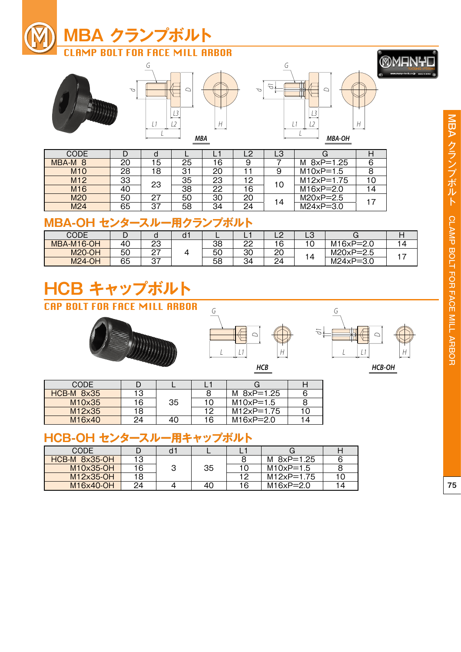

*d*





| <b>CODE</b>        |    |    |    |    |    | LЗ |                |    |
|--------------------|----|----|----|----|----|----|----------------|----|
| MBA-M <sub>8</sub> | 20 | 15 | 25 | 16 |    |    | M $8xP=1.25$   |    |
| M <sub>10</sub>    | 28 | 18 | 31 | 20 |    |    | $M10xP=1.5$    |    |
| M <sub>12</sub>    | 33 | 23 | 35 | 23 | 12 |    | $M12xP = 1.75$ | 10 |
| M <sub>16</sub>    | 40 |    | 38 | 22 | 16 | 10 | $M16xP=2.0$    | 14 |
| M20                | 50 | 27 | 50 | 30 | 20 | 14 | $M20xP = 2.5$  |    |
| M <sub>24</sub>    | 65 | 37 | 58 | 34 | 24 |    | $M24xP=3.0$    |    |

# **MBA-OH センタースルー用クランプボルト**

| CODE          | ◡  |               | a |    | -               |          | ∟ບ             |               |     |
|---------------|----|---------------|---|----|-----------------|----------|----------------|---------------|-----|
| MBA-M16-OH    | 40 | ററ<br>ںے      |   | 38 | ററ<br><u>__</u> | 16       | u              | $M16xP = 2.0$ |     |
| <b>M20-OH</b> | 50 | ົ<br><u>L</u> |   | 50 | 30              | ററ<br>▵  | $\overline{a}$ | $M20xP = 2.5$ | . — |
| <b>M24-OH</b> | 65 | 27<br>، ب     |   | 58 | 34              | ?4<br>–− |                | $M24xP=3.0$   |     |

# **HCB キャップボルト** CAP BOLT FOR FACE MILL ARBOR





*HCB HCB-OH*

CODE D L L1 G H HCB-M 8x35 13<br>M10x35 16 35 8 | M 8xP=1.25 | 6 16 35 10 M10xP=1.5 8 M12x35 18 12 M12xP=1.75 10<br>M16x40 24 40 16 M16xP=2.0 14 24 40 16 M16xP=2.0 14

# **HCB-OH センタースルー用キャップボルト**

| CODE          |    |   |    |   |                |    |
|---------------|----|---|----|---|----------------|----|
| HCB-M 8x35-OH | 13 |   |    |   | M 8xP=1.25     | 6  |
| M10x35-OH     | 16 | ≏ | 35 |   | $M10xP=1.5$    |    |
| M12x35-OH     | 18 |   |    |   | $M12xP = 1.75$ |    |
| M16x40-OH     | 24 |   | 40 | 6 | $M16xP = 2.0$  | 14 |

**MANTO**